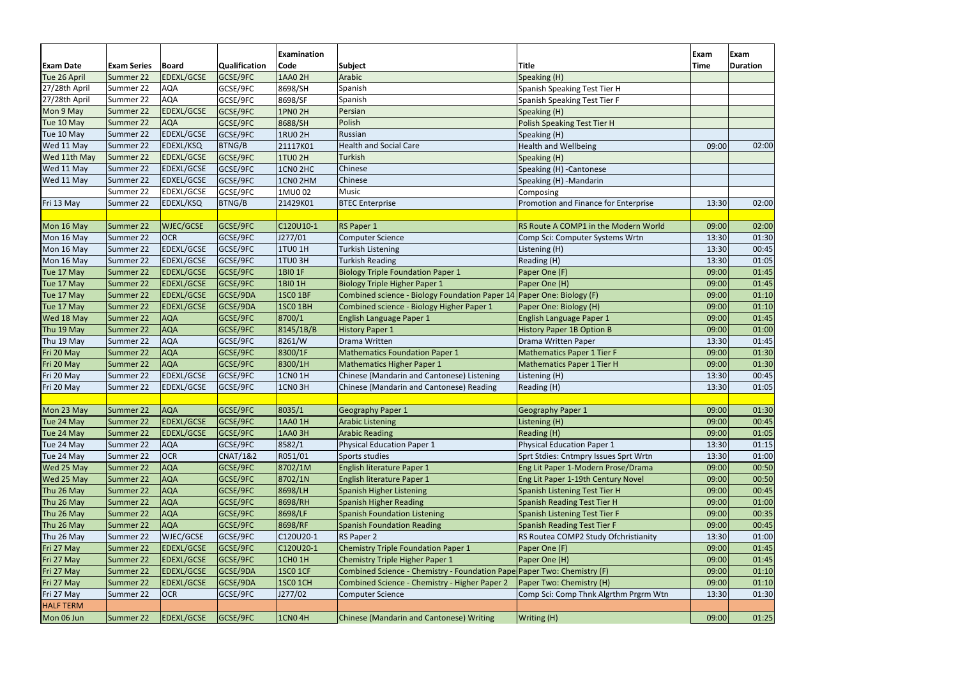| <b>Exam Date</b> | <b>Exam Series</b> | <b>Board</b>      | Qualification       | <b>Examination</b><br>Code | <b>Subject</b>                                                          | <b>Title</b>                          | Exam<br>Time | Exam<br><b>Duration</b> |
|------------------|--------------------|-------------------|---------------------|----------------------------|-------------------------------------------------------------------------|---------------------------------------|--------------|-------------------------|
| Tue 26 April     | Summer 22          | EDEXL/GCSE        | GCSE/9FC            | 1AA0 2H                    | Arabic                                                                  | Speaking (H)                          |              |                         |
| 27/28th April    | Summer 22          | AQA               | GCSE/9FC            | 8698/SH                    | Spanish                                                                 | Spanish Speaking Test Tier H          |              |                         |
| 27/28th April    | Summer 22          | AQA               | GCSE/9FC            | 8698/SF                    | Spanish                                                                 | Spanish Speaking Test Tier F          |              |                         |
| Mon 9 May        | Summer 22          | <b>EDEXL/GCSE</b> | GCSE/9FC            | <b>1PN0 2H</b>             | Persian                                                                 | Speaking (H)                          |              |                         |
| Tue 10 May       | Summer 22          | <b>AQA</b>        | GCSE/9FC            | 8688/SH                    | Polish                                                                  | <b>Polish Speaking Test Tier H</b>    |              |                         |
| Tue 10 May       | Summer 22          | EDEXL/GCSE        | GCSE/9FC            | <b>1RU0 2H</b>             | Russian                                                                 | Speaking (H)                          |              |                         |
| Wed 11 May       | Summer 22          | EDEXL/KSQ         | BTNG/B              | 21117K01                   | <b>Health and Social Care</b>                                           | <b>Health and Wellbeing</b>           | 09:00        | 02:00                   |
| Wed 11th May     | Summer 22          | <b>EDEXL/GCSE</b> | GCSE/9FC            | <b>1TU0 2H</b>             | Turkish                                                                 | Speaking (H)                          |              |                         |
| Wed 11 May       | Summer 22          | <b>EDEXL/GCSE</b> | GCSE/9FC            | 1CN02HC                    | Chinese                                                                 | Speaking (H) - Cantonese              |              |                         |
| Wed 11 May       | Summer 22          | EDXEL/GCSE        | GCSE/9FC            | 1CN0 2HM                   | Chinese                                                                 | Speaking (H) - Mandarin               |              |                         |
|                  | Summer 22          | EDEXL/GCSE        | GCSE/9FC            | 1MU002                     | Music                                                                   | Composing                             |              |                         |
| Fri 13 May       | Summer 22          | EDEXL/KSQ         | BTNG/B              | 21429K01                   | <b>BTEC</b> Enterprise                                                  | Promotion and Finance for Enterprise  | 13:30        | 02:00                   |
|                  |                    |                   |                     |                            |                                                                         |                                       |              |                         |
| Mon 16 May       | Summer 22          | WJEC/GCSE         | GCSE/9FC            | C120U10-1                  | RS Paper 1                                                              | RS Route A COMP1 in the Modern World  | 09:00        | 02:00                   |
| Mon 16 May       | Summer 22          | <b>OCR</b>        | GCSE/9FC            | J277/01                    | <b>Computer Science</b>                                                 | Comp Sci: Computer Systems Wrtn       | 13:30        | 01:30                   |
| Mon 16 May       | Summer 22          | <b>EDEXL/GCSE</b> | GCSE/9FC            | 1TU0 1H                    | Turkish Listening                                                       | Listening (H)                         | 13:30        | 00:45                   |
| Mon 16 May       | Summer 22          | EDEXL/GCSE        | GCSE/9FC            | 1TU03H                     | <b>Turkish Reading</b>                                                  | Reading (H)                           | 13:30        | 01:05                   |
| Tue 17 May       | Summer 22          | <b>EDEXL/GCSE</b> | GCSE/9FC            | 1BIO 1F                    | <b>Biology Triple Foundation Paper 1</b>                                | Paper One (F)                         | 09:00        | 01:45                   |
| Tue 17 May       | Summer 22          | <b>EDEXL/GCSE</b> | GCSE/9FC            | 1BI0 1H                    | <b>Biology Triple Higher Paper 1</b>                                    | Paper One (H)                         | 09:00        | 01:45                   |
| Tue 17 May       | Summer 22          | <b>EDEXL/GCSE</b> | GCSE/9DA            | 1SCO 1BF                   | Combined science - Biology Foundation Paper 14 Paper One: Biology (F)   |                                       | 09:00        | 01:10                   |
| Tue 17 May       | Summer 22          | <b>EDEXL/GCSE</b> | GCSE/9DA            | 1SCO <sub>1BH</sub>        | Combined science - Biology Higher Paper 1                               | Paper One: Biology (H)                | 09:00        | 01:10                   |
| Wed 18 May       | Summer 22          | <b>AQA</b>        | GCSE/9FC            | 8700/1                     | English Language Paper 1                                                | English Language Paper 1              | 09:00        | 01:45                   |
| Thu 19 May       | Summer 22          | <b>AQA</b>        | GCSE/9FC            | 8145/1B/B                  | History Paper 1                                                         | <b>History Paper 1B Option B</b>      | 09:00        | 01:00                   |
| Thu 19 May       | Summer 22          | <b>AQA</b>        | GCSE/9FC            | 8261/W                     | Drama Written                                                           | Drama Written Paper                   | 13:30        | 01:45                   |
| Fri 20 May       | Summer 22          | <b>AQA</b>        | GCSE/9FC            | 8300/1F                    | <b>Mathematics Foundation Paper 1</b>                                   | <b>Mathematics Paper 1 Tier F</b>     | 09:00        | 01:30                   |
| Fri 20 May       | Summer 22          | <b>AQA</b>        | GCSE/9FC            | 8300/1H                    | Mathematics Higher Paper 1                                              | Mathematics Paper 1 Tier H            | 09:00        | 01:30                   |
| Fri 20 May       | Summer 22          | <b>EDEXL/GCSE</b> | GCSE/9FC            | <b>1CN0 1H</b>             | Chinese (Mandarin and Cantonese) Listening                              | Listening (H)                         | 13:30        | 00:45                   |
| Fri 20 May       | Summer 22          | EDEXL/GCSE        | GCSE/9FC            | 1CNO <sub>3H</sub>         | Chinese (Mandarin and Cantonese) Reading                                | Reading (H)                           | 13:30        | 01:05                   |
|                  |                    |                   |                     |                            |                                                                         |                                       |              |                         |
| Mon 23 May       | Summer 22          | <b>AQA</b>        | GCSE/9FC            | 8035/1                     | <b>Geography Paper 1</b>                                                | <b>Geography Paper 1</b>              | 09:00        | 01:30                   |
| Tue 24 May       | Summer 22          | <b>EDEXL/GCSE</b> | GCSE/9FC            | 1AA0 1H                    | <b>Arabic Listening</b>                                                 | Listening (H)                         | 09:00        | 00:45                   |
| Tue 24 May       | Summer 22          | <b>EDEXL/GCSE</b> | GCSE/9FC            | <b>1AA0 3H</b>             | <b>Arabic Reading</b>                                                   | Reading (H)                           | 09:00        | 01:05                   |
| Tue 24 May       | Summer 22          | <b>AQA</b>        | GCSE/9FC            | 8582/1                     | Physical Education Paper 1                                              | <b>Physical Education Paper 1</b>     | 13:30        | 01:15                   |
| Tue 24 May       | Summer 22          | <b>OCR</b>        | <b>CNAT/1&amp;2</b> | R051/01                    | Sports studies                                                          | Sprt Stdies: Cntmpry Issues Sprt Wrtn | 13:30        | 01:00                   |
| Wed 25 May       | Summer 22          | <b>AQA</b>        | GCSE/9FC            | 8702/1M                    | English literature Paper 1                                              | Eng Lit Paper 1-Modern Prose/Drama    | 09:00        | 00:50                   |
| Wed 25 May       | Summer 22          | <b>AQA</b>        | GCSE/9FC            | 8702/1N                    | English literature Paper 1                                              | Eng Lit Paper 1-19th Century Novel    | 09:00        | 00:50                   |
| Thu 26 May       | Summer 22          | <b>AQA</b>        | GCSE/9FC            | 8698/LH                    | Spanish Higher Listening                                                | <b>Spanish Listening Test Tier H</b>  | 09:00        | 00:45                   |
| Thu 26 May       | Summer 22          | <b>AQA</b>        | GCSE/9FC            | 8698/RH                    | Spanish Higher Reading                                                  | <b>Spanish Reading Test Tier H</b>    | 09:00        | 01:00                   |
| Thu 26 May       | Summer 22          | <b>AQA</b>        | GCSE/9FC            | 8698/LF                    | <b>Spanish Foundation Listening</b>                                     | Spanish Listening Test Tier F         | 09:00        | 00:35                   |
| Thu 26 May       | Summer 22          | <b>AQA</b>        | GCSE/9FC            | 8698/RF                    | <b>Spanish Foundation Reading</b>                                       | Spanish Reading Test Tier F           | 09:00        | 00:45                   |
| Thu 26 May       | Summer 22          | WJEC/GCSE         | GCSE/9FC            | C120U20-1                  | RS Paper 2                                                              | RS Routea COMP2 Study Ofchristianity  | 13:30        | 01:00                   |
| Fri 27 May       | Summer 22          | <b>EDEXL/GCSE</b> | GCSE/9FC            | C120U20-1                  | Chemistry Triple Foundation Paper 1                                     | Paper One (F)                         | 09:00        | 01:45                   |
| Fri 27 May       | Summer 22          | <b>EDEXL/GCSE</b> | GCSE/9FC            | 1CH0 1H                    | Chemistry Triple Higher Paper 1                                         | Paper One (H)                         | 09:00        | 01:45                   |
| Fri 27 May       | Summer 22          | <b>EDEXL/GCSE</b> | GCSE/9DA            | <b>1SCO 1CF</b>            | Combined Science - Chemistry - Foundation Pape Paper Two: Chemistry (F) |                                       | 09:00        | 01:10                   |
| Fri 27 May       | Summer 22          | <b>EDEXL/GCSE</b> | GCSE/9DA            | 1SCO <sub>1CH</sub>        | Combined Science - Chemistry - Higher Paper 2                           | Paper Two: Chemistry (H)              | 09:00        | 01:10                   |
| Fri 27 May       | Summer 22          | <b>OCR</b>        | GCSE/9FC            | J277/02                    | <b>Computer Science</b>                                                 | Comp Sci: Comp Thnk Algrthm Prgrm Wtn | 13:30        | 01:30                   |
| <b>HALF TERM</b> |                    |                   |                     |                            |                                                                         |                                       |              |                         |
| Mon 06 Jun       | Summer 22          | <b>EDEXL/GCSE</b> | GCSE/9FC            | <b>1CNO 4H</b>             | Chinese (Mandarin and Cantonese) Writing                                | Writing (H)                           | 09:00        | 01:25                   |
|                  |                    |                   |                     |                            |                                                                         |                                       |              |                         |